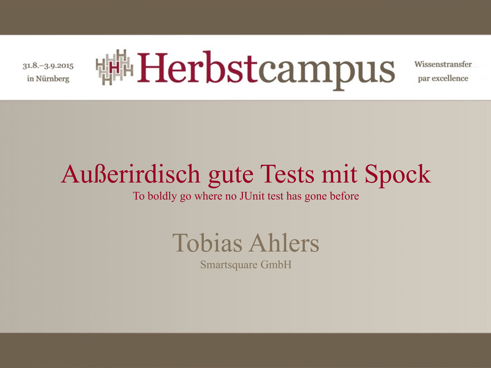$31.8 - 3.9.2015$ in Nürnberg



Wissenstransfer par excellence

# Außerirdisch gute Tests mit Spock

To boldly go where no JUnit test has gone before



Smartsquare GmbH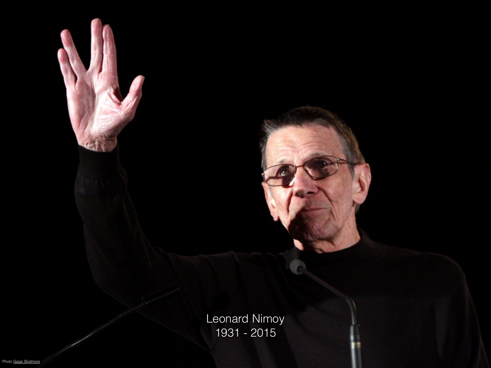Leonard Nimoy 1931 - 2015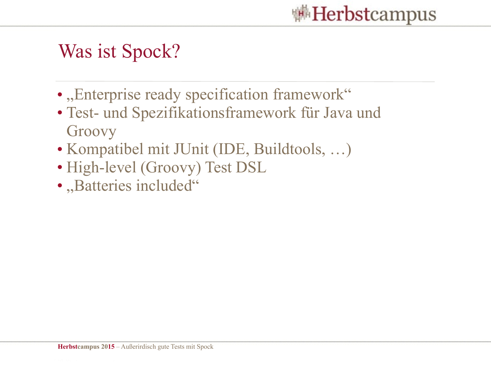

### Was ist Spock?

- "Enterprise ready specification framework"
- Test- und Spezifikationsframework für Java und Groovy
- Kompatibel mit JUnit (IDE, Buildtools, …)
- High-level (Groovy) Test DSL
- "Batteries included"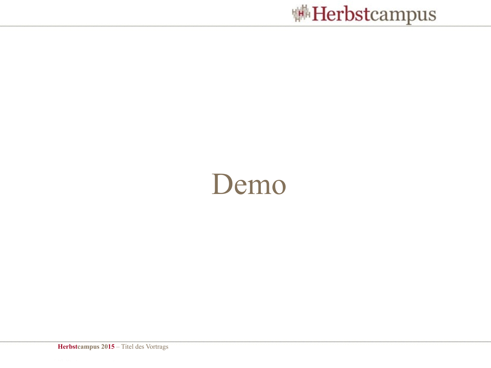

# Demo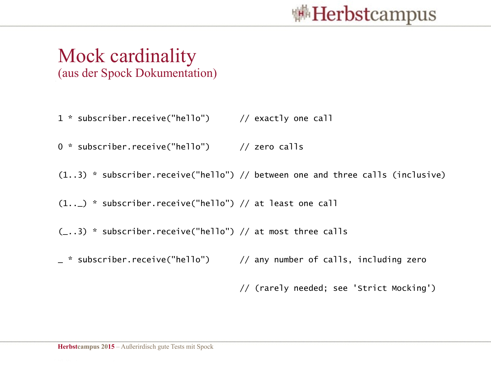

#### Mock cardinality (aus der Spock Dokumentation)

- 1 \* subscriber.receive("hello") // exactly one call
- 0 \* subscriber.receive("hello") // zero calls
- (1..3) \* subscriber.receive("hello") // between one and three calls (inclusive)
- (1..\_) \* subscriber.receive("hello") // at least one call
- $(-..3)$  \* subscriber. receive("hello") // at most three calls
- \_ \* subscriber.receive("hello") // any number of calls, including zero

// (rarely needed; see 'Strict Mocking')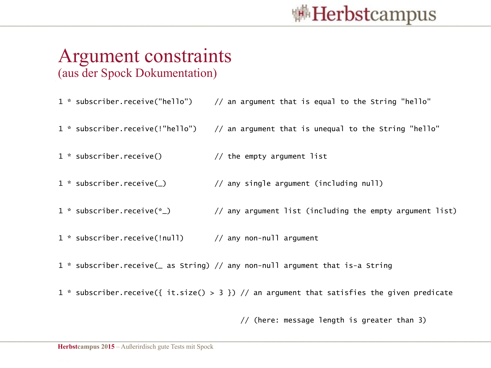

#### Argument constraints (aus der Spock Dokumentation)

| 1 * subscriber.receive("hello")  | // an argument that is equal to the String "hello"                                    |
|----------------------------------|---------------------------------------------------------------------------------------|
|                                  | 1 * subscriber.receive(!"hello") // an argument that is unequal to the String "hello" |
| $1 *$ subscriber. receive()      | // the empty argument list                                                            |
| $1 *$ subscriber. receive(       | // any single argument (including null)                                               |
| 1 $*$ subscriber. receive( $*$ ) | // any argument list (including the empty argument list)                              |
| 1 * subscriber.receive(!null)    | // any non-null argument                                                              |

1 \* subscriber.receive(\_ as String) // any non-null argument that is-a String

1 \* subscriber.receive({ it.size() > 3 }) // an argument that satisfies the given predicate

// (here: message length is greater than 3)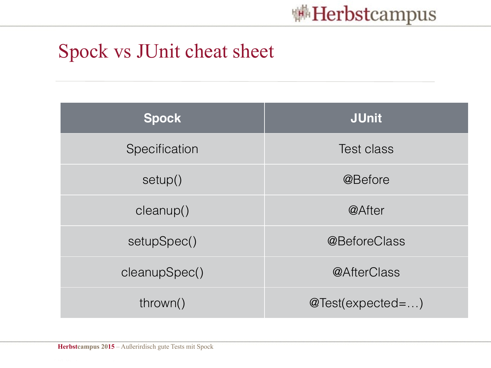

#### Spock vs JUnit cheat sheet

| <b>Spock</b>  | <b>JUnit</b>       |
|---------------|--------------------|
| Specification | <b>Test class</b>  |
| setup()       | @Before            |
| cleanup()     | @After             |
| setupSpec()   | @BeforeClass       |
| cleanupSpec() | @AfterClass        |
| thrown()      | $@Test(expected=)$ |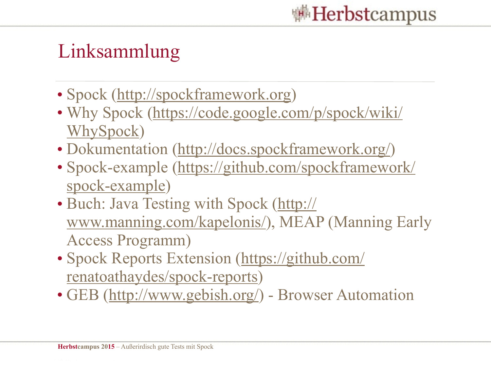

## Linksammlung

- Spock [\(http://spockframework.org\)](http://spockframework.org)
- [Why Spock \(https://code.google.com/p/spock/wiki/](https://code.google.com/p/spock/wiki/WhySpock) WhySpock)
- Dokumentation ([http://docs.spockframework.org/\)](http://docs.spockframework.org/)
- [Spock-example \(https://github.com/spockframework/](https://github.com/spockframework/spock-example) spock-example)
- [Buch: Java Testing with Spock \(http://](http://www.manning.com/kapelonis/) www.manning.com/kapelonis/), MEAP (Manning Early Access Programm)
- [Spock Reports Extension \(https://github.com/](https://github.com/renatoathaydes/spock-reports) renatoathaydes/spock-reports)
- GEB [\(http://www.gebish.org/\)](http://www.gebish.org/) Browser Automation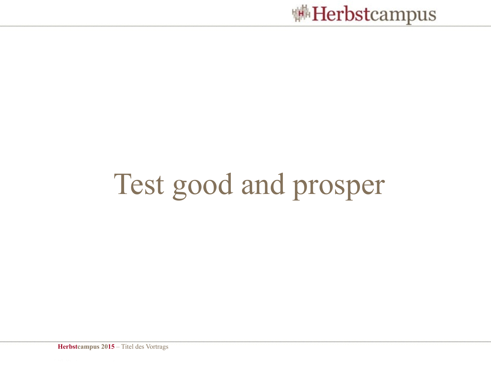

# Test good and prosper